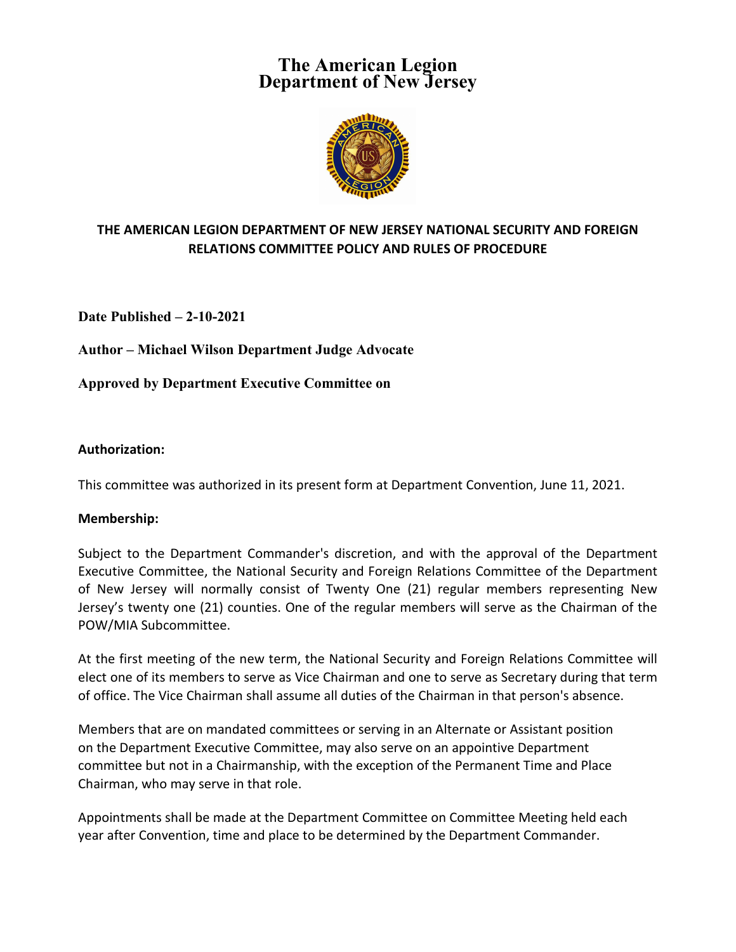# **The American Legion Department of New Jersey**



## **THE AMERICAN LEGION DEPARTMENT OF NEW JERSEY NATIONAL SECURITY AND FOREIGN RELATIONS COMMITTEE POLICY AND RULES OF PROCEDURE**

**Date Published – 2-10-2021**

**Author – Michael Wilson Department Judge Advocate**

**Approved by Department Executive Committee on** 

## **Authorization:**

This committee was authorized in its present form at Department Convention, June 11, 2021.

#### **Membership:**

Subject to the Department Commander's discretion, and with the approval of the Department Executive Committee, the National Security and Foreign Relations Committee of the Department of New Jersey will normally consist of Twenty One (21) regular members representing New Jersey's twenty one (21) counties. One of the regular members will serve as the Chairman of the POW/MIA Subcommittee.

At the first meeting of the new term, the National Security and Foreign Relations Committee will elect one of its members to serve as Vice Chairman and one to serve as Secretary during that term of office. The Vice Chairman shall assume all duties of the Chairman in that person's absence.

Members that are on mandated committees or serving in an Alternate or Assistant position on the Department Executive Committee, may also serve on an appointive Department committee but not in a Chairmanship, with the exception of the Permanent Time and Place Chairman, who may serve in that role.

Appointments shall be made at the Department Committee on Committee Meeting held each year after Convention, time and place to be determined by the Department Commander.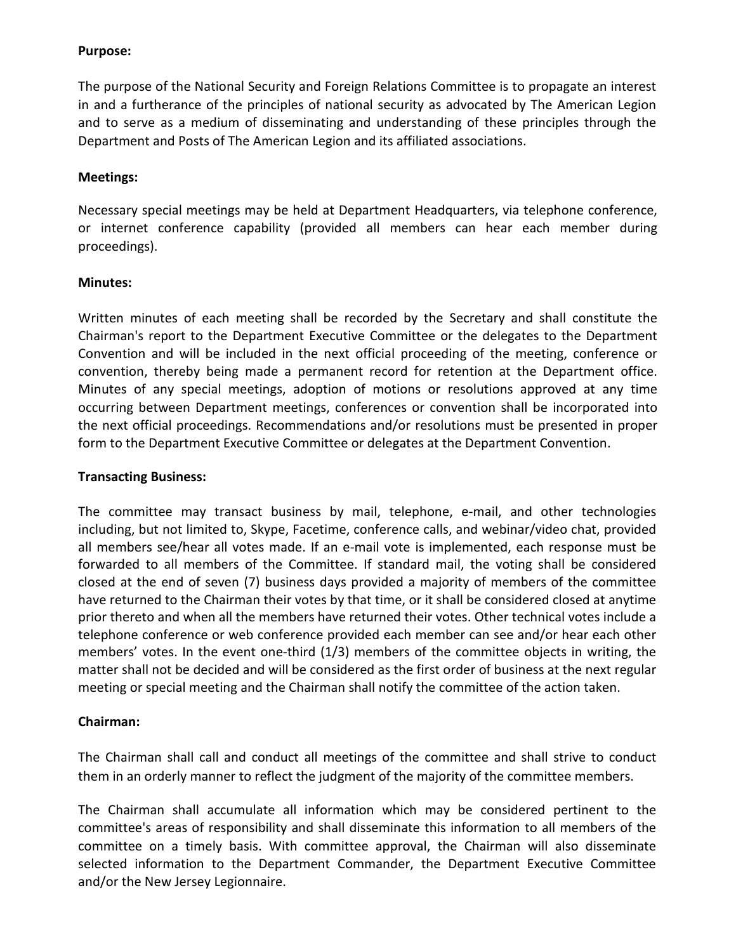## **Purpose:**

The purpose of the National Security and Foreign Relations Committee is to propagate an interest in and a furtherance of the principles of national security as advocated by The American Legion and to serve as a medium of disseminating and understanding of these principles through the Department and Posts of The American Legion and its affiliated associations.

## **Meetings:**

Necessary special meetings may be held at Department Headquarters, via telephone conference, or internet conference capability (provided all members can hear each member during proceedings).

## **Minutes:**

Written minutes of each meeting shall be recorded by the Secretary and shall constitute the Chairman's report to the Department Executive Committee or the delegates to the Department Convention and will be included in the next official proceeding of the meeting, conference or convention, thereby being made a permanent record for retention at the Department office. Minutes of any special meetings, adoption of motions or resolutions approved at any time occurring between Department meetings, conferences or convention shall be incorporated into the next official proceedings. Recommendations and/or resolutions must be presented in proper form to the Department Executive Committee or delegates at the Department Convention.

## **Transacting Business:**

The committee may transact business by mail, telephone, e-mail, and other technologies including, but not limited to, Skype, Facetime, conference calls, and webinar/video chat, provided all members see/hear all votes made. If an e-mail vote is implemented, each response must be forwarded to all members of the Committee. If standard mail, the voting shall be considered closed at the end of seven (7) business days provided a majority of members of the committee have returned to the Chairman their votes by that time, or it shall be considered closed at anytime prior thereto and when all the members have returned their votes. Other technical votes include a telephone conference or web conference provided each member can see and/or hear each other members' votes. In the event one-third (1/3) members of the committee objects in writing, the matter shall not be decided and will be considered as the first order of business at the next regular meeting or special meeting and the Chairman shall notify the committee of the action taken.

## **Chairman:**

The Chairman shall call and conduct all meetings of the committee and shall strive to conduct them in an orderly manner to reflect the judgment of the majority of the committee members.

The Chairman shall accumulate all information which may be considered pertinent to the committee's areas of responsibility and shall disseminate this information to all members of the committee on a timely basis. With committee approval, the Chairman will also disseminate selected information to the Department Commander, the Department Executive Committee and/or the New Jersey Legionnaire.